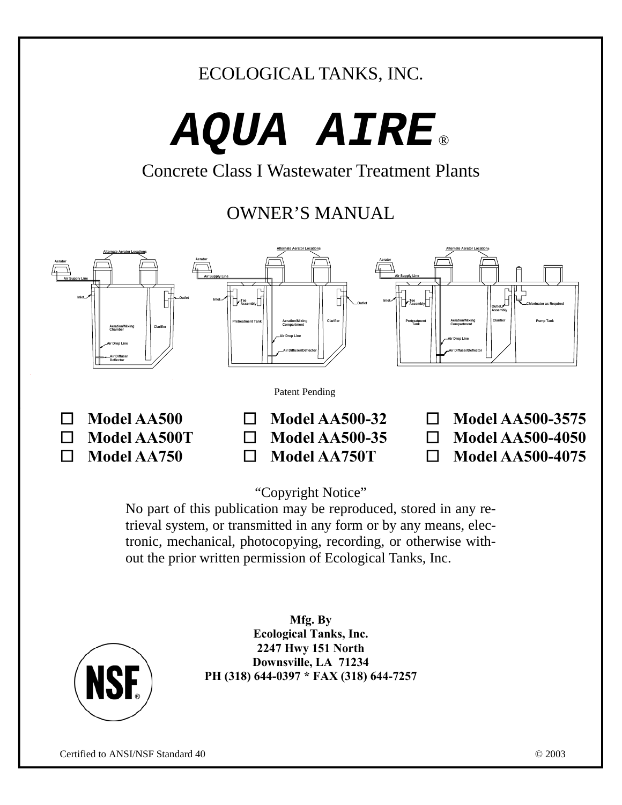## ECOLOGICAL TANKS, INC.

# *AQUA AIRE* ®

Concrete Class I Wastewater Treatment Plants

## OWNER'S MANUAL



"Copyright Notice"

No part of this publication may be reproduced, stored in any retrieval system, or transmitted in any form or by any means, electronic, mechanical, photocopying, recording, or otherwise without the prior written permission of Ecological Tanks, Inc.



**Mfg. By Ecological Tanks, Inc. 2247 Hwy 151 North Downsville, LA 71234 PH (318) 644-0397 \* FAX (318) 644-7257**

Certified to ANSI/NSF Standard 40 © 2003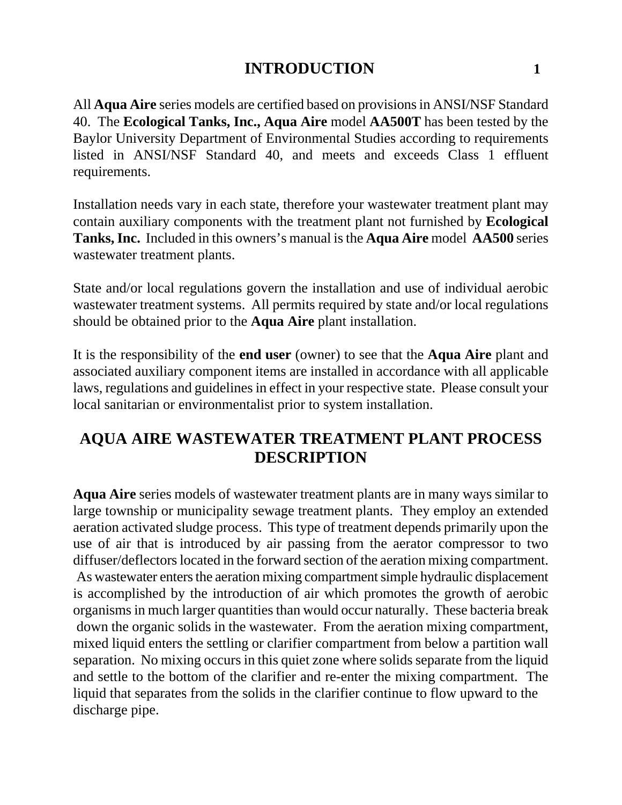#### **INTRODUCTION** 1

All **Aqua Aire** series models are certified based on provisions in ANSI/NSF Standard 40. The **Ecological Tanks, Inc., Aqua Aire** model **AA500T** has been tested by the Baylor University Department of Environmental Studies according to requirements listed in ANSI/NSF Standard 40, and meets and exceeds Class 1 effluent requirements.

Installation needs vary in each state, therefore your wastewater treatment plant may contain auxiliary components with the treatment plant not furnished by **Ecological Tanks, Inc.** Included in this owners's manual is the **Aqua Aire** model **AA500** series wastewater treatment plants.

State and/or local regulations govern the installation and use of individual aerobic wastewater treatment systems. All permits required by state and/or local regulations should be obtained prior to the **Aqua Aire** plant installation.

It is the responsibility of the **end user** (owner) to see that the **Aqua Aire** plant and associated auxiliary component items are installed in accordance with all applicable laws, regulations and guidelines in effect in your respective state. Please consult your local sanitarian or environmentalist prior to system installation.

## **AQUA AIRE WASTEWATER TREATMENT PLANT PROCESS DESCRIPTION**

**Aqua Aire** series models of wastewater treatment plants are in many ways similar to large township or municipality sewage treatment plants. They employ an extended aeration activated sludge process. This type of treatment depends primarily upon the use of air that is introduced by air passing from the aerator compressor to two diffuser/deflectors located in the forward section of the aeration mixing compartment. As wastewater enters the aeration mixing compartment simple hydraulic displacement is accomplished by the introduction of air which promotes the growth of aerobic organisms in much larger quantities than would occur naturally. These bacteria break down the organic solids in the wastewater. From the aeration mixing compartment, mixed liquid enters the settling or clarifier compartment from below a partition wall separation. No mixing occurs in this quiet zone where solids separate from the liquid and settle to the bottom of the clarifier and re-enter the mixing compartment. The liquid that separates from the solids in the clarifier continue to flow upward to the discharge pipe.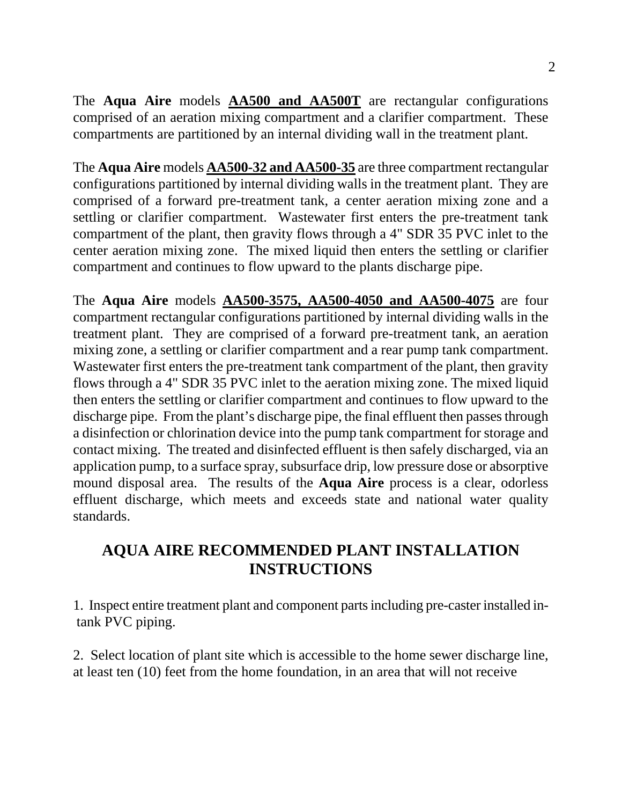The **Aqua Aire** models **AA500 and AA500T** are rectangular configurations comprised of an aeration mixing compartment and a clarifier compartment. These compartments are partitioned by an internal dividing wall in the treatment plant.

The **Aqua Aire** models **AA500-32 and AA500-35** are three compartment rectangular configurations partitioned by internal dividing walls in the treatment plant. They are comprised of a forward pre-treatment tank, a center aeration mixing zone and a settling or clarifier compartment. Wastewater first enters the pre-treatment tank compartment of the plant, then gravity flows through a 4" SDR 35 PVC inlet to the center aeration mixing zone. The mixed liquid then enters the settling or clarifier compartment and continues to flow upward to the plants discharge pipe.

The **Aqua Aire** models **AA500-3575, AA500-4050 and AA500-4075** are four compartment rectangular configurations partitioned by internal dividing walls in the treatment plant. They are comprised of a forward pre-treatment tank, an aeration mixing zone, a settling or clarifier compartment and a rear pump tank compartment. Wastewater first enters the pre-treatment tank compartment of the plant, then gravity flows through a 4" SDR 35 PVC inlet to the aeration mixing zone. The mixed liquid then enters the settling or clarifier compartment and continues to flow upward to the discharge pipe. From the plant's discharge pipe, the final effluent then passes through a disinfection or chlorination device into the pump tank compartment for storage and contact mixing. The treated and disinfected effluent is then safely discharged, via an application pump, to a surface spray, subsurface drip, low pressure dose or absorptive mound disposal area. The results of the **Aqua Aire** process is a clear, odorless effluent discharge, which meets and exceeds state and national water quality standards.

## **AQUA AIRE RECOMMENDED PLANT INSTALLATION INSTRUCTIONS**

1. Inspect entire treatment plant and component parts including pre-caster installed in tank PVC piping.

2. Select location of plant site which is accessible to the home sewer discharge line, at least ten (10) feet from the home foundation, in an area that will not receive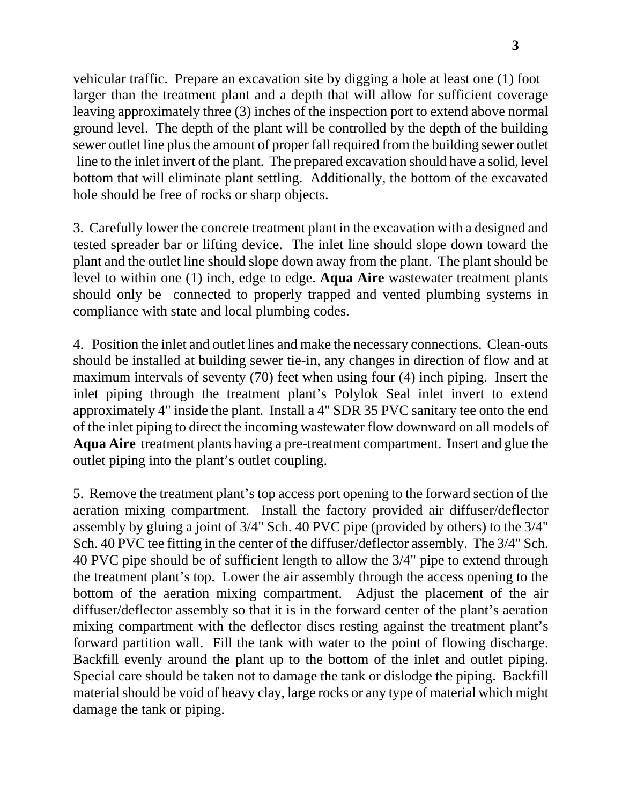vehicular traffic. Prepare an excavation site by digging a hole at least one (1) foot larger than the treatment plant and a depth that will allow for sufficient coverage leaving approximately three (3) inches of the inspection port to extend above normal ground level. The depth of the plant will be controlled by the depth of the building sewer outlet line plus the amount of proper fall required from the building sewer outlet line to the inlet invert of the plant. The prepared excavation should have a solid, level bottom that will eliminate plant settling. Additionally, the bottom of the excavated hole should be free of rocks or sharp objects.

3. Carefully lower the concrete treatment plant in the excavation with a designed and tested spreader bar or lifting device. The inlet line should slope down toward the plant and the outlet line should slope down away from the plant. The plant should be level to within one (1) inch, edge to edge. **Aqua Aire** wastewater treatment plants should only be connected to properly trapped and vented plumbing systems in compliance with state and local plumbing codes.

4. Position the inlet and outlet lines and make the necessary connections. Clean-outs should be installed at building sewer tie-in, any changes in direction of flow and at maximum intervals of seventy (70) feet when using four (4) inch piping. Insert the inlet piping through the treatment plant's Polylok Seal inlet invert to extend approximately 4" inside the plant. Install a 4" SDR 35 PVC sanitary tee onto the end of the inlet piping to direct the incoming wastewater flow downward on all models of **Aqua Aire** treatment plants having a pre-treatment compartment. Insert and glue the outlet piping into the plant's outlet coupling.

5. Remove the treatment plant's top access port opening to the forward section of the aeration mixing compartment. Install the factory provided air diffuser/deflector assembly by gluing a joint of 3/4" Sch. 40 PVC pipe (provided by others) to the 3/4" Sch. 40 PVC tee fitting in the center of the diffuser/deflector assembly. The 3/4" Sch. 40 PVC pipe should be of sufficient length to allow the 3/4" pipe to extend through the treatment plant's top. Lower the air assembly through the access opening to the bottom of the aeration mixing compartment. Adjust the placement of the air diffuser/deflector assembly so that it is in the forward center of the plant's aeration mixing compartment with the deflector discs resting against the treatment plant's forward partition wall. Fill the tank with water to the point of flowing discharge. Backfill evenly around the plant up to the bottom of the inlet and outlet piping. Special care should be taken not to damage the tank or dislodge the piping. Backfill material should be void of heavy clay, large rocks or any type of material which might damage the tank or piping.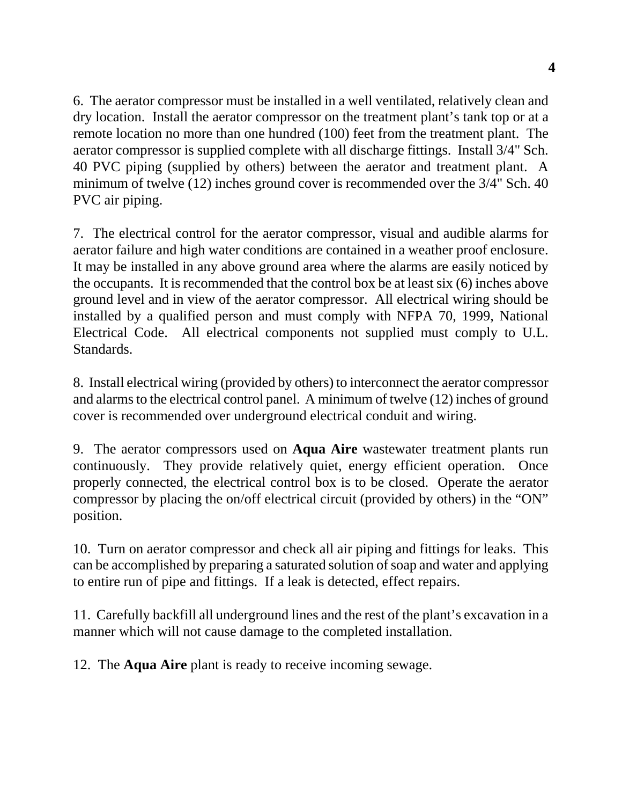6. The aerator compressor must be installed in a well ventilated, relatively clean and dry location. Install the aerator compressor on the treatment plant's tank top or at a remote location no more than one hundred (100) feet from the treatment plant. The aerator compressor is supplied complete with all discharge fittings. Install 3/4" Sch. 40 PVC piping (supplied by others) between the aerator and treatment plant. A minimum of twelve (12) inches ground cover is recommended over the 3/4" Sch. 40 PVC air piping.

7. The electrical control for the aerator compressor, visual and audible alarms for aerator failure and high water conditions are contained in a weather proof enclosure. It may be installed in any above ground area where the alarms are easily noticed by the occupants. It is recommended that the control box be at least six (6) inches above ground level and in view of the aerator compressor. All electrical wiring should be installed by a qualified person and must comply with NFPA 70, 1999, National Electrical Code. All electrical components not supplied must comply to U.L. Standards.

8. Install electrical wiring (provided by others) to interconnect the aerator compressor and alarms to the electrical control panel. A minimum of twelve (12) inches of ground cover is recommended over underground electrical conduit and wiring.

9. The aerator compressors used on **Aqua Aire** wastewater treatment plants run continuously. They provide relatively quiet, energy efficient operation. Once properly connected, the electrical control box is to be closed. Operate the aerator compressor by placing the on/off electrical circuit (provided by others) in the "ON" position.

10. Turn on aerator compressor and check all air piping and fittings for leaks. This can be accomplished by preparing a saturated solution of soap and water and applying to entire run of pipe and fittings. If a leak is detected, effect repairs.

11. Carefully backfill all underground lines and the rest of the plant's excavation in a manner which will not cause damage to the completed installation.

12. The **Aqua Aire** plant is ready to receive incoming sewage.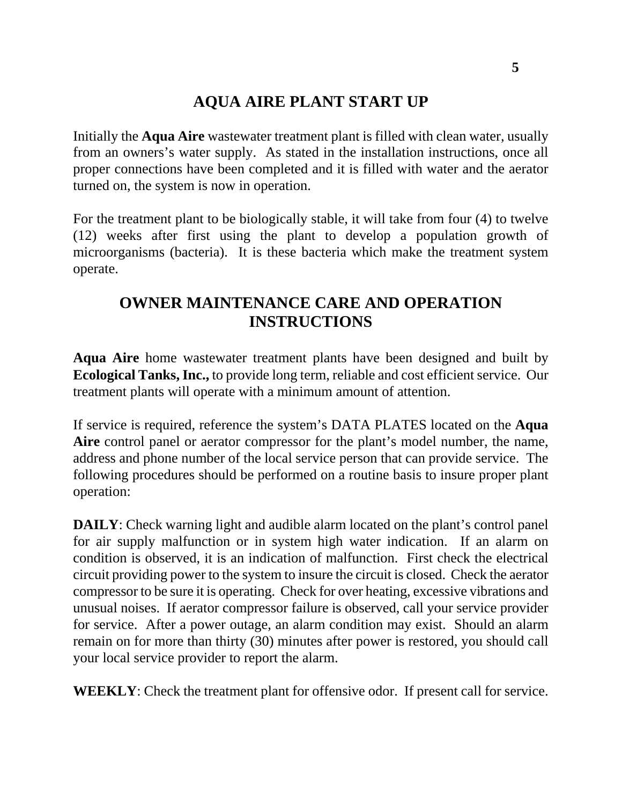## **AQUA AIRE PLANT START UP**

Initially the **Aqua Aire** wastewater treatment plant is filled with clean water, usually from an owners's water supply. As stated in the installation instructions, once all proper connections have been completed and it is filled with water and the aerator turned on, the system is now in operation.

For the treatment plant to be biologically stable, it will take from four (4) to twelve (12) weeks after first using the plant to develop a population growth of microorganisms (bacteria). It is these bacteria which make the treatment system operate.

## **OWNER MAINTENANCE CARE AND OPERATION INSTRUCTIONS**

**Aqua Aire** home wastewater treatment plants have been designed and built by **Ecological Tanks, Inc.,** to provide long term, reliable and cost efficient service. Our treatment plants will operate with a minimum amount of attention.

If service is required, reference the system's DATA PLATES located on the **Aqua Aire** control panel or aerator compressor for the plant's model number, the name, address and phone number of the local service person that can provide service. The following procedures should be performed on a routine basis to insure proper plant operation:

**DAILY**: Check warning light and audible alarm located on the plant's control panel for air supply malfunction or in system high water indication. If an alarm on condition is observed, it is an indication of malfunction. First check the electrical circuit providing power to the system to insure the circuit is closed. Check the aerator compressor to be sure it is operating. Check for over heating, excessive vibrations and unusual noises. If aerator compressor failure is observed, call your service provider for service. After a power outage, an alarm condition may exist. Should an alarm remain on for more than thirty (30) minutes after power is restored, you should call your local service provider to report the alarm.

**WEEKLY**: Check the treatment plant for offensive odor. If present call for service.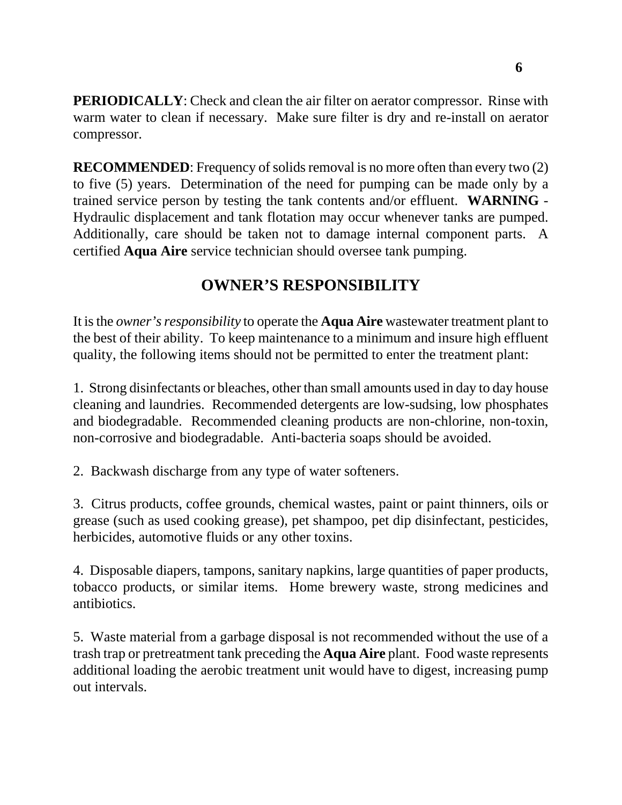**PERIODICALLY**: Check and clean the air filter on aerator compressor. Rinse with warm water to clean if necessary. Make sure filter is dry and re-install on aerator compressor.

**RECOMMENDED:** Frequency of solids removal is no more often than every two (2) to five (5) years. Determination of the need for pumping can be made only by a trained service person by testing the tank contents and/or effluent. **WARNING** - Hydraulic displacement and tank flotation may occur whenever tanks are pumped. Additionally, care should be taken not to damage internal component parts. A certified **Aqua Aire** service technician should oversee tank pumping.

## **OWNER'S RESPONSIBILITY**

It is the *owner's responsibility* to operate the **Aqua Aire** wastewater treatment plant to the best of their ability. To keep maintenance to a minimum and insure high effluent quality, the following items should not be permitted to enter the treatment plant:

1. Strong disinfectants or bleaches, other than small amounts used in day to day house cleaning and laundries. Recommended detergents are low-sudsing, low phosphates and biodegradable. Recommended cleaning products are non-chlorine, non-toxin, non-corrosive and biodegradable. Anti-bacteria soaps should be avoided.

2. Backwash discharge from any type of water softeners.

3. Citrus products, coffee grounds, chemical wastes, paint or paint thinners, oils or grease (such as used cooking grease), pet shampoo, pet dip disinfectant, pesticides, herbicides, automotive fluids or any other toxins.

4. Disposable diapers, tampons, sanitary napkins, large quantities of paper products, tobacco products, or similar items. Home brewery waste, strong medicines and antibiotics.

5. Waste material from a garbage disposal is not recommended without the use of a trash trap or pretreatment tank preceding the **Aqua Aire** plant. Food waste represents additional loading the aerobic treatment unit would have to digest, increasing pump out intervals.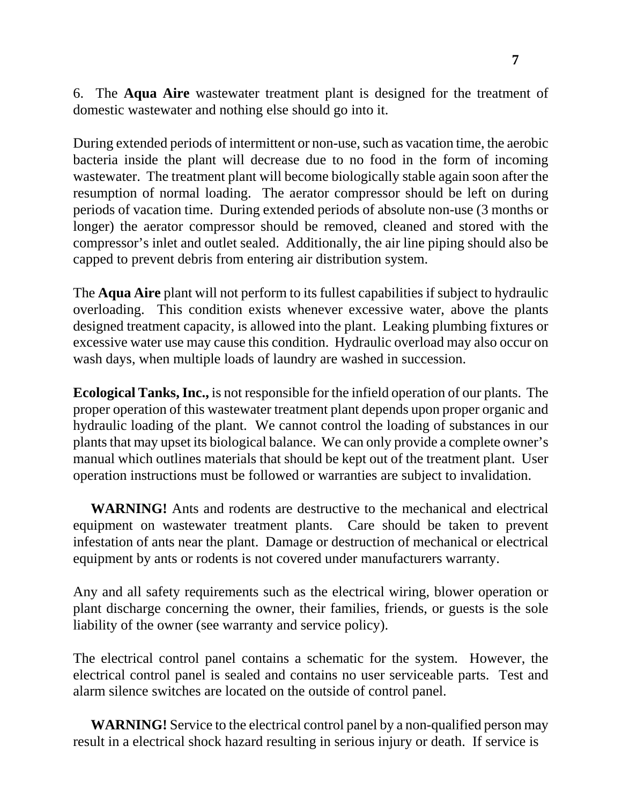6. The **Aqua Aire** wastewater treatment plant is designed for the treatment of domestic wastewater and nothing else should go into it.

During extended periods of intermittent or non-use, such as vacation time, the aerobic bacteria inside the plant will decrease due to no food in the form of incoming wastewater. The treatment plant will become biologically stable again soon after the resumption of normal loading. The aerator compressor should be left on during periods of vacation time. During extended periods of absolute non-use (3 months or longer) the aerator compressor should be removed, cleaned and stored with the compressor's inlet and outlet sealed. Additionally, the air line piping should also be capped to prevent debris from entering air distribution system.

The **Aqua Aire** plant will not perform to its fullest capabilities if subject to hydraulic overloading. This condition exists whenever excessive water, above the plants designed treatment capacity, is allowed into the plant. Leaking plumbing fixtures or excessive water use may cause this condition. Hydraulic overload may also occur on wash days, when multiple loads of laundry are washed in succession.

**Ecological Tanks, Inc.,** is not responsible for the infield operation of our plants. The proper operation of this wastewater treatment plant depends upon proper organic and hydraulic loading of the plant. We cannot control the loading of substances in our plants that may upset its biological balance. We can only provide a complete owner's manual which outlines materials that should be kept out of the treatment plant. User operation instructions must be followed or warranties are subject to invalidation.

 **WARNING!** Ants and rodents are destructive to the mechanical and electrical equipment on wastewater treatment plants. Care should be taken to prevent infestation of ants near the plant. Damage or destruction of mechanical or electrical equipment by ants or rodents is not covered under manufacturers warranty.

Any and all safety requirements such as the electrical wiring, blower operation or plant discharge concerning the owner, their families, friends, or guests is the sole liability of the owner (see warranty and service policy).

The electrical control panel contains a schematic for the system. However, the electrical control panel is sealed and contains no user serviceable parts. Test and alarm silence switches are located on the outside of control panel.

 **WARNING!** Service to the electrical control panel by a non-qualified person may result in a electrical shock hazard resulting in serious injury or death. If service is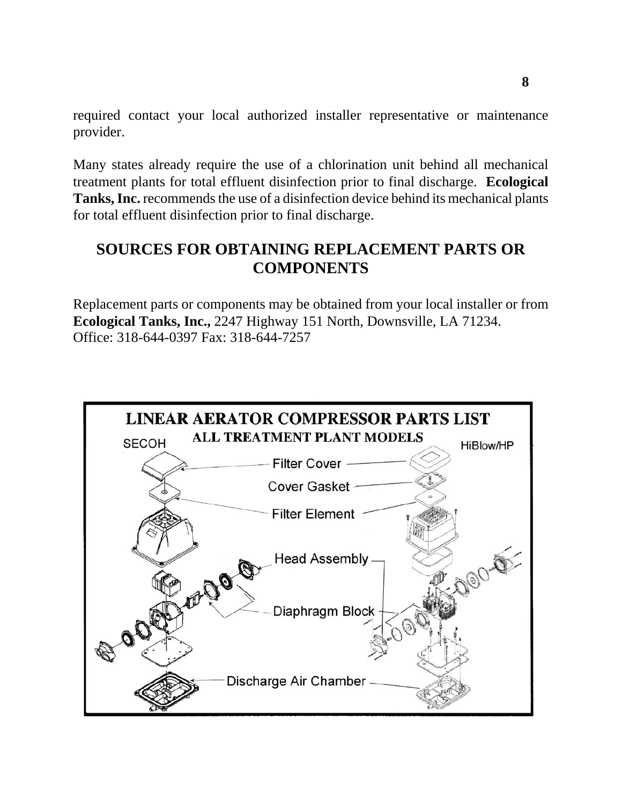required contact your local authorized installer representative or maintenance provider.

Many states already require the use of a chlorination unit behind all mechanical treatment plants for total effluent disinfection prior to final discharge. **Ecological Tanks, Inc.** recommends the use of a disinfection device behind its mechanical plants for total effluent disinfection prior to final discharge.

## **SOURCES FOR OBTAINING REPLACEMENT PARTS OR COMPONENTS**

Replacement parts or components may be obtained from your local installer or from **Ecological Tanks, Inc.,** 2247 Highway 151 North, Downsville, LA 71234. Office: 318-644-0397 Fax: 318-644-7257

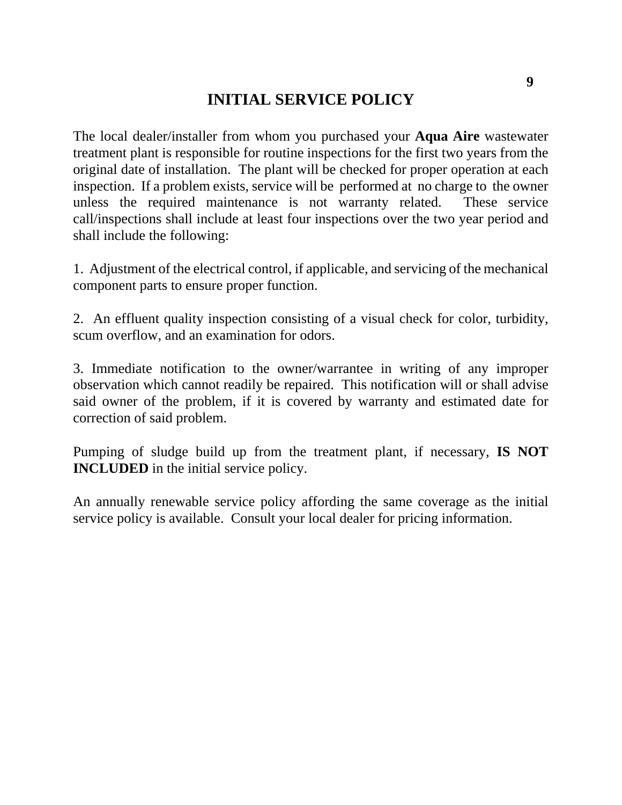#### **INITIAL SERVICE POLICY**

The local dealer/installer from whom you purchased your **Aqua Aire** wastewater treatment plant is responsible for routine inspections for the first two years from the original date of installation. The plant will be checked for proper operation at each inspection. If a problem exists, service will be performed at no charge to the owner unless the required maintenance is not warranty related. These service call/inspections shall include at least four inspections over the two year period and shall include the following:

1. Adjustment of the electrical control, if applicable, and servicing of the mechanical component parts to ensure proper function.

2. An effluent quality inspection consisting of a visual check for color, turbidity, scum overflow, and an examination for odors.

3. Immediate notification to the owner/warrantee in writing of any improper observation which cannot readily be repaired. This notification will or shall advise said owner of the problem, if it is covered by warranty and estimated date for correction of said problem.

Pumping of sludge build up from the treatment plant, if necessary, **IS NOT INCLUDED** in the initial service policy.

An annually renewable service policy affording the same coverage as the initial service policy is available. Consult your local dealer for pricing information.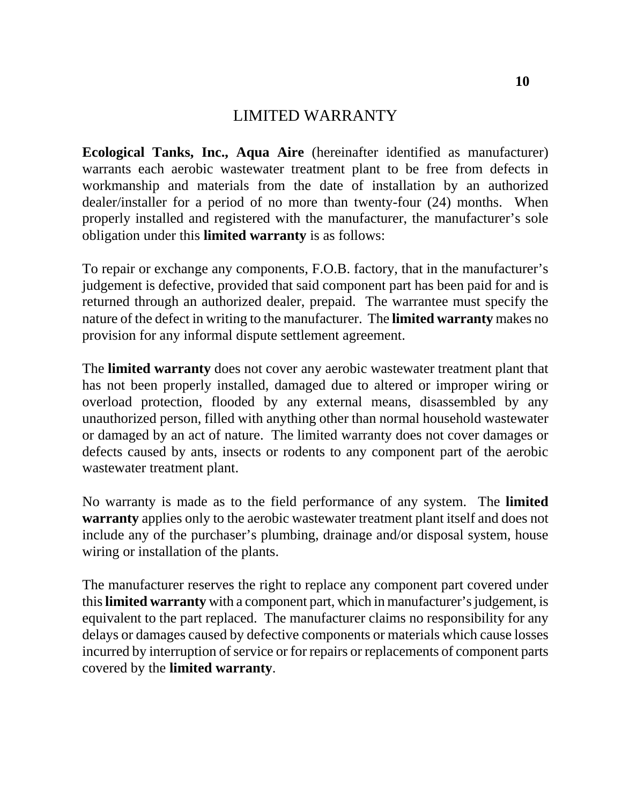#### LIMITED WARRANTY

**Ecological Tanks, Inc., Aqua Aire** (hereinafter identified as manufacturer) warrants each aerobic wastewater treatment plant to be free from defects in workmanship and materials from the date of installation by an authorized dealer/installer for a period of no more than twenty-four (24) months. When properly installed and registered with the manufacturer, the manufacturer's sole obligation under this **limited warranty** is as follows:

To repair or exchange any components, F.O.B. factory, that in the manufacturer's judgement is defective, provided that said component part has been paid for and is returned through an authorized dealer, prepaid. The warrantee must specify the nature of the defect in writing to the manufacturer. The **limited warranty** makes no provision for any informal dispute settlement agreement.

The **limited warranty** does not cover any aerobic wastewater treatment plant that has not been properly installed, damaged due to altered or improper wiring or overload protection, flooded by any external means, disassembled by any unauthorized person, filled with anything other than normal household wastewater or damaged by an act of nature. The limited warranty does not cover damages or defects caused by ants, insects or rodents to any component part of the aerobic wastewater treatment plant.

No warranty is made as to the field performance of any system. The **limited warranty** applies only to the aerobic wastewater treatment plant itself and does not include any of the purchaser's plumbing, drainage and/or disposal system, house wiring or installation of the plants.

The manufacturer reserves the right to replace any component part covered under this **limited warranty** with a component part, which in manufacturer's judgement, is equivalent to the part replaced. The manufacturer claims no responsibility for any delays or damages caused by defective components or materials which cause losses incurred by interruption of service or for repairs or replacements of component parts covered by the **limited warranty**.